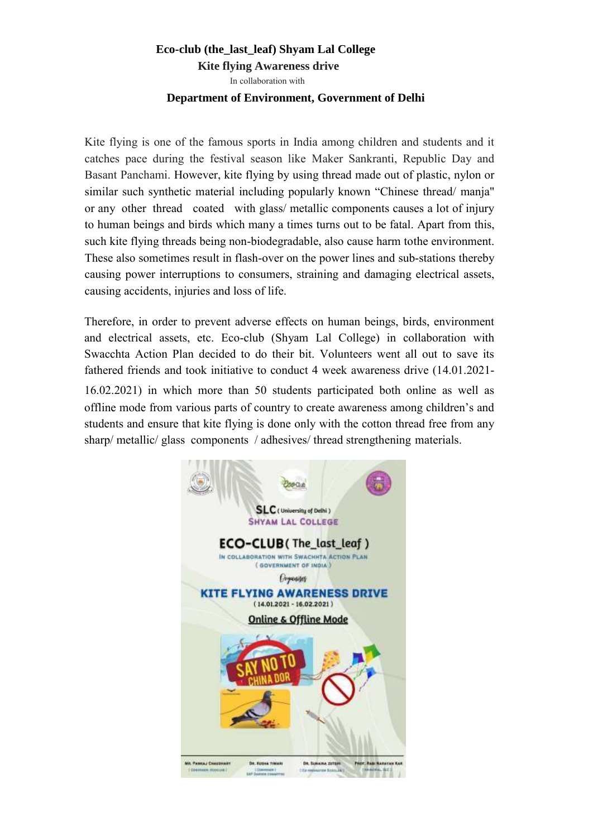## **Eco-club (the\_last\_leaf) Shyam Lal College**

 **Kite flying Awareness drive** 

In collaboration with

## **Department of Environment, Government of Delhi**

Kite flying is one of the famous sports in India among children and students and it catches pace during the festival season like Maker Sankranti, Republic Day and Basant Panchami. However, kite flying by using thread made out of plastic, nylon or similar such synthetic material including popularly known "Chinese thread/ manja" or any other thread coated with glass/ metallic components causes a lot of injury to human beings and birds which many a times turns out to be fatal. Apart from this, such kite flying threads being non-biodegradable, also cause harm to the environment. These also sometimes result in flash-over on the power lines and sub-stations thereby causing power interruptions to consumers, straining and damaging electrical assets, causing accidents, injuries and loss of life.

Therefore, in order to prevent adverse effects on human beings, birds, environment and electrical assets, etc. Eco-club (Shyam Lal College) in collaboration with Swacchta Action Plan decided to do their bit. Volunteers went all out to save its fathered friends and took initiative to conduct 4 week awareness drive (14.01.2021-

16.02.2021) in which more than 50 students participated both online as well as offline mode from various parts of country to create awareness among children's and students and ensure that kite flying is done only with the cotton thread free from any sharp/ metallic/ glass components / adhesives/ thread strengthening materials.